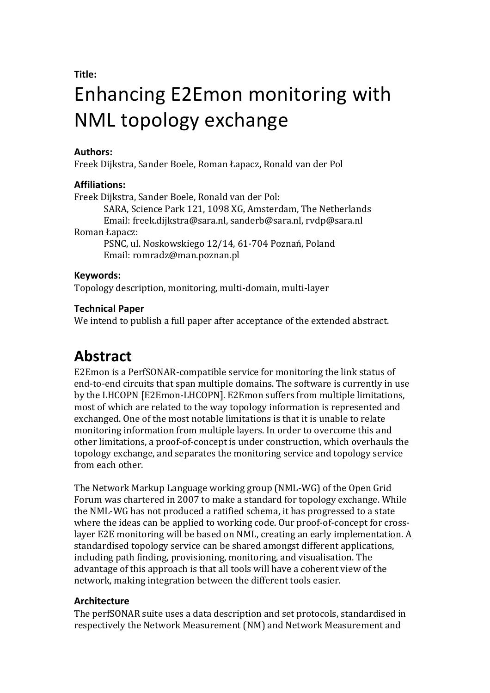**Title:**

# Enhancing E2Emon monitoring with NML topology exchange

#### **Authors:**

Freek%Dijkstra,%Sander%Boele,%Roman%Łapacz,%Ronald%van%der%Pol

# **Affiliations:**

Freek Dijkstra, Sander Boele, Ronald van der Pol: SARA, Science Park 121, 1098 XG, Amsterdam, The Netherlands Email:%freek.dijkstra@sara.nl,%sanderb@sara.nl,%rvdp@sara.nl Roman Łapacz: PSNC, ul. Noskowskiego 12/14, 61-704 Poznań, Poland Email: romradz@man.poznan.pl

# **Keywords:**

Topology description, monitoring, multi-domain, multi-layer

# **Technical Paper**

We intend to publish a full paper after acceptance of the extended abstract.

# **Abstract**

E2Emon is a PerfSONAR-compatible service for monitoring the link status of end-to-end circuits that span multiple domains. The software is currently in use by the LHCOPN [E2Emon-LHCOPN]. E2Emon suffers from multiple limitations, most of which are related to the way topology information is represented and exchanged. One of the most notable limitations is that it is unable to relate monitoring information from multiple layers. In order to overcome this and other limitations, a proof-of-concept is under construction, which overhauls the topology exchange, and separates the monitoring service and topology service from each other.

The Network Markup Language working group (NML-WG) of the Open Grid Forum was chartered in 2007 to make a standard for topology exchange. While the NML-WG has not produced a ratified schema, it has progressed to a state where the ideas can be applied to working code. Our proof-of-concept for crosslayer E2E monitoring will be based on NML, creating an early implementation. A standardised topology service can be shared amongst different applications, including path finding, provisioning, monitoring, and visualisation. The advantage of this approach is that all tools will have a coherent view of the network, making integration between the different tools easier.

#### **Architecture**

The perfSONAR suite uses a data description and set protocols, standardised in respectively the Network Measurement (NM) and Network Measurement and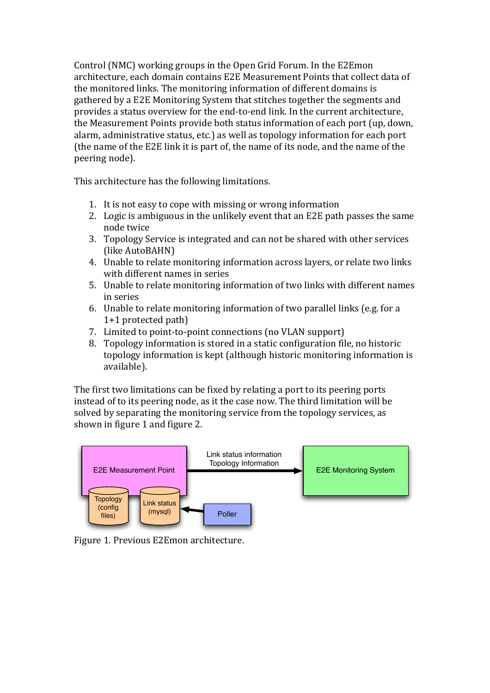Control (NMC) working groups in the Open Grid Forum. In the E2Emon architecture, each domain contains E2E Measurement Points that collect data of the monitored links. The monitoring information of different domains is gathered by a E2E Monitoring System that stitches together the segments and provides a status overview for the end-to-end link. In the current architecture, the Measurement Points provide both status information of each port (up, down, alarm, administrative status, etc.) as well as topology information for each port (the name of the E2E link it is part of, the name of its node, and the name of the peering node).

This architecture has the following limitations.

- 1. It is not easy to cope with missing or wrong information
- 2. Logic is ambiguous in the unlikely event that an E2E path passes the same node twice
- 3. Topology Service is integrated and can not be shared with other services (like AutoBAHN)
- 4. Unable to relate monitoring information across layers, or relate two links with different names in series
- 5. Unable to relate monitoring information of two links with different names in series
- 6. Unable to relate monitoring information of two parallel links (e.g. for a  $1+1$  protected path)
- 7. Limited to point-to-point connections (no VLAN support)
- 8. Topology information is stored in a static configuration file, no historic topology information is kept (although historic monitoring information is available).

The first two limitations can be fixed by relating a port to its peering ports instead of to its peering node, as it the case now. The third limitation will be solved by separating the monitoring service from the topology services, as shown in figure 1 and figure 2.



Figure 1. Previous E2Emon architecture.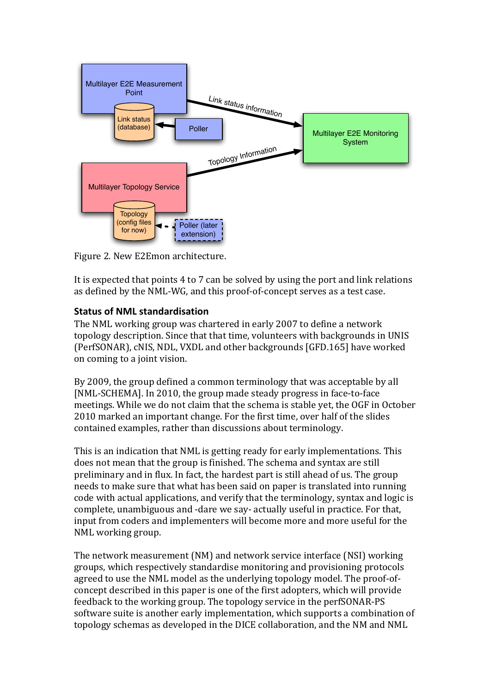

Figure 2. New E2Emon architecture.

It is expected that points 4 to 7 can be solved by using the port and link relations as defined by the NML-WG, and this proof-of-concept serves as a test case.

# **Status'of'NML'standardisation**

The NML working group was chartered in early 2007 to define a network topology description. Since that that time, volunteers with backgrounds in UNIS (PerfSONAR), cNIS, NDL, VXDL and other backgrounds [GFD.165] have worked on coming to a joint vision.

By 2009, the group defined a common terminology that was acceptable by all [NML-SCHEMA]. In 2010, the group made steady progress in face-to-face meetings. While we do not claim that the schema is stable yet, the OGF in October 2010 marked an important change. For the first time, over half of the slides contained examples, rather than discussions about terminology.

This is an indication that NML is getting ready for early implementations. This does not mean that the group is finished. The schema and syntax are still preliminary and in flux. In fact, the hardest part is still ahead of us. The group needs to make sure that what has been said on paper is translated into running code with actual applications, and verify that the terminology, syntax and logic is complete, unambiguous and -dare we say- actually useful in practice. For that, input from coders and implementers will become more and more useful for the NML working group.

The network measurement (NM) and network service interface (NSI) working groups, which respectively standardise monitoring and provisioning protocols agreed to use the NML model as the underlying topology model. The proof-ofconcept described in this paper is one of the first adopters, which will provide feedback to the working group. The topology service in the perfSONAR-PS software suite is another early implementation, which supports a combination of topology schemas as developed in the DICE collaboration, and the NM and NML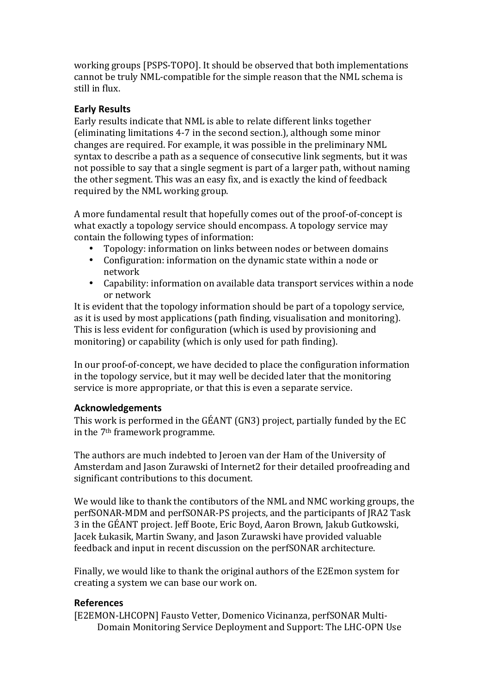working groups [PSPS-TOPO]. It should be observed that both implementations cannot be truly NML-compatible for the simple reason that the NML schema is still in flux.

# **Early'Results**

Early results indicate that NML is able to relate different links together (eliminating limitations 4-7 in the second section.), although some minor changes are required. For example, it was possible in the preliminary NML syntax to describe a path as a sequence of consecutive link segments, but it was not possible to say that a single segment is part of a larger path, without naming the other segment. This was an easy fix, and is exactly the kind of feedback required by the NML working group.

A more fundamental result that hopefully comes out of the proof-of-concept is what exactly a topology service should encompass. A topology service may contain the following types of information:

- Topology: information on links between nodes or between domains
- Configuration: information on the dynamic state within a node or network
- Capability: information on available data transport services within a node or network

It is evident that the topology information should be part of a topology service, as it is used by most applications (path finding, visualisation and monitoring). This is less evident for configuration (which is used by provisioning and monitoring) or capability (which is only used for path finding).

In our proof-of-concept, we have decided to place the configuration information in the topology service, but it may well be decided later that the monitoring service is more appropriate, or that this is even a separate service.

#### **Acknowledgements**

This work is performed in the GÉANT (GN3) project, partially funded by the EC in the  $7<sup>th</sup>$  framework programme.

The authors are much indebted to Jeroen van der Ham of the University of Amsterdam and Jason Zurawski of Internet2 for their detailed proofreading and significant contributions to this document.

We would like to thank the contibutors of the NML and NMC working groups, the perfSONAR-MDM and perfSONAR-PS projects, and the participants of JRA2 Task 3 in the GÉANT project. Jeff Boote, Eric Boyd, Aaron Brown, Jakub Gutkowski, Jacek Łukasik, Martin Swany, and Jason Zurawski have provided valuable feedback and input in recent discussion on the perfSONAR architecture.

Finally, we would like to thank the original authors of the E2Emon system for creating a system we can base our work on.

# **References**

[E2EMON-LHCOPN] Fausto Vetter, Domenico Vicinanza, perfSONAR Multi-Domain Monitoring Service Deployment and Support: The LHC-OPN Use